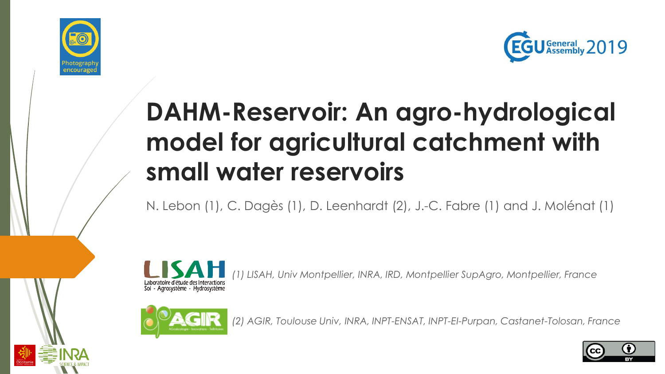



# **DAHM-Reservoir: An agro-hydrological model for agricultural catchment with small water reservoirs**

N. Lebon (1), C. Dagès (1), D. Leenhardt (2), J.-C. Fabre (1) and J. Molénat (1)



*(1) LISAH, Univ Montpellier, INRA, IRD, Montpellier SupAgro, Montpellier, France*



*(2) AGIR, Toulouse Univ, INRA, INPT-ENSAT, INPT-EI-Purpan, Castanet-Tolosan, France*

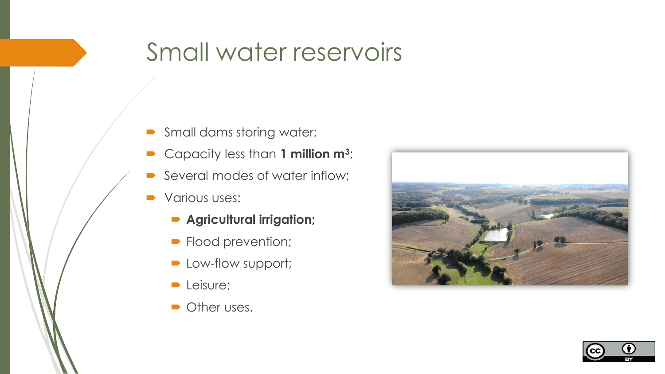#### Small water reservoirs

- Small dams storing water;
- Capacity less than 1 million m<sup>3</sup>;
- Several modes of water inflow;
- Various uses:
	- **Agricultural irrigation;**
	- **Flood prevention;**
	- Low-flow support;
	- **D** Leisure;
	- **Other uses.**



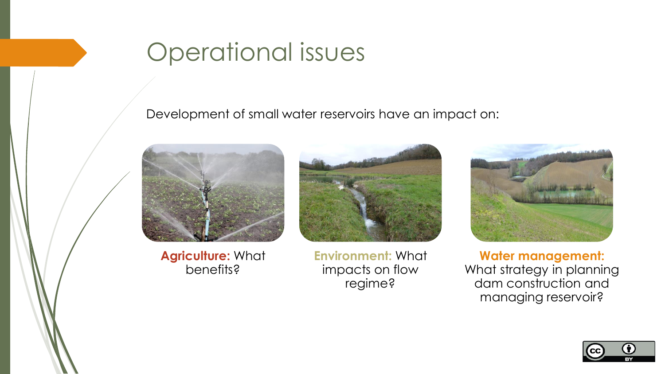### Operational issues

Development of small water reservoirs have an impact on:



**Agriculture:** What benefits?



**Environment:** What impacts on flow regime?



**Water management:**  What strategy in planning dam construction and managing reservoir?

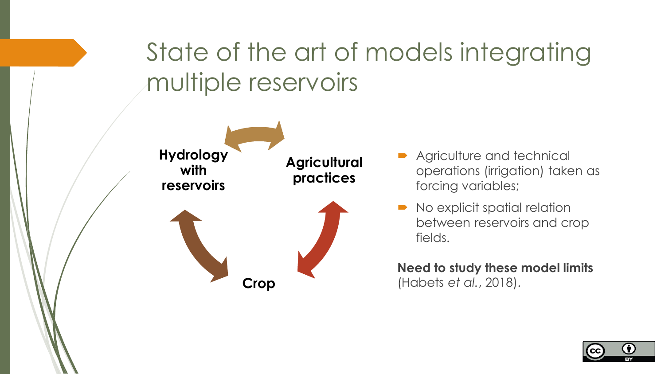# State of the art of models integrating multiple reservoirs



- **Agriculture and technical** operations (irrigation) taken as forcing variables;
- No explicit spatial relation between reservoirs and crop fields.

**Need to study these model limits**  (Habets *et al.*, 2018).

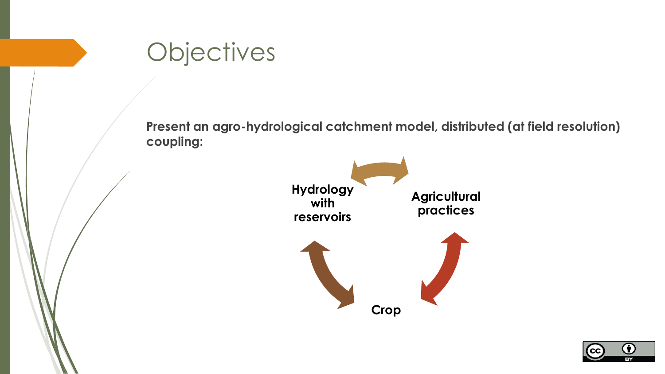

**Agricultural practices Crop Hydrology with reservoirs**

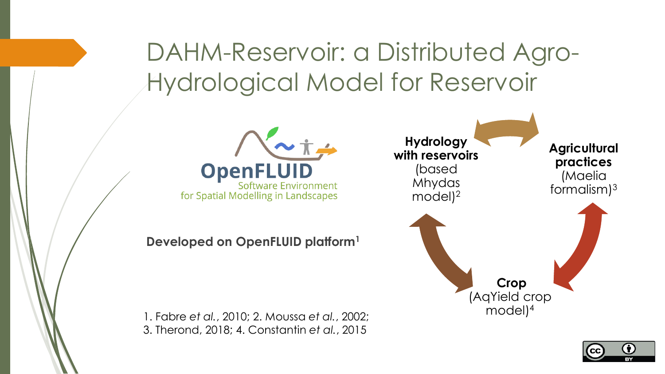# DAHM-Reservoir: a Distributed Agro-Hydrological Model for Reservoir



**Developed on OpenFLUID platform<sup>1</sup>**

1. Fabre *et al.*, 2010; 2. Moussa *et al.*, 2002; 3. Therond, 2018; 4. Constantin *et al.*, 2015



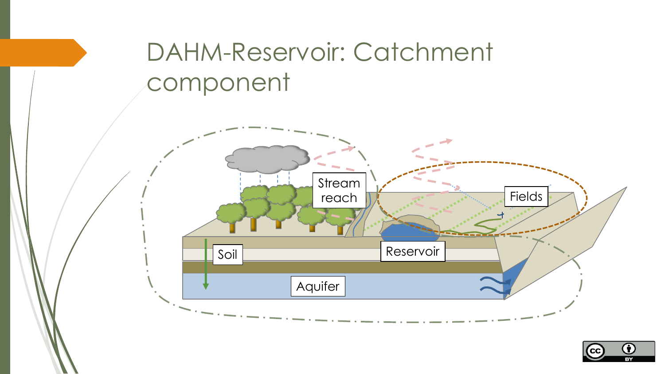# DAHM-Reservoir: Catchment component



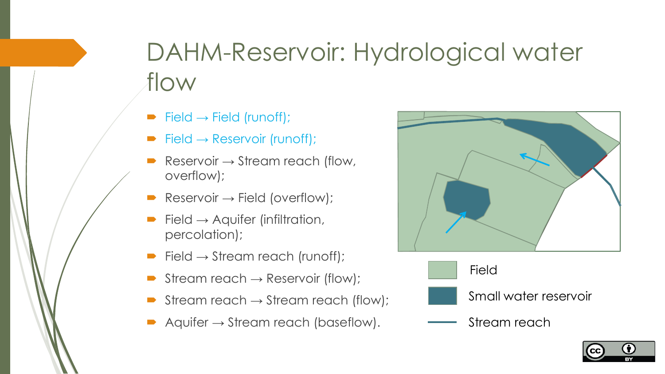# DAHM-Reservoir: Hydrological water flow

- $\blacktriangleright$  Field  $\rightarrow$  Field (runoff);
- $\blacktriangleright$  Field  $\rightarrow$  Reservoir (runoff);
- Reservoir  $\rightarrow$  Stream reach (flow, overflow);
- Reservoir  $\rightarrow$  Field (overflow);
- Field  $\rightarrow$  Aquifer (infiltration, percolation);
- Field  $\rightarrow$  Stream reach (runoff);
- Stream reach  $\rightarrow$  Reservoir (flow);
- Stream reach  $\rightarrow$  Stream reach (flow);
- Aquifer  $\rightarrow$  Stream reach (baseflow).





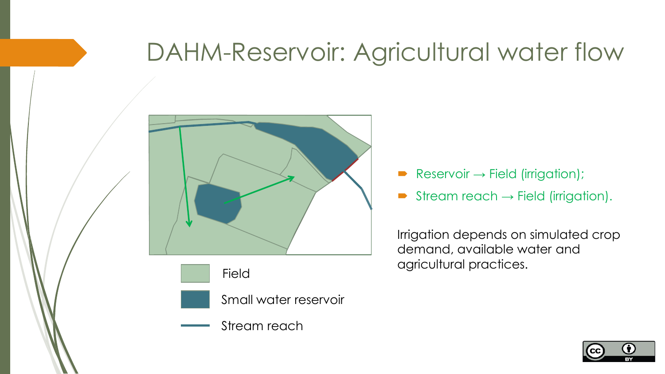### DAHM-Reservoir: Agricultural water flow







Small water reservoir



- $Reservoir \rightarrow Field (irrigation);$
- Stream reach  $\rightarrow$  Field (irrigation).

Irrigation depends on simulated crop demand, available water and agricultural practices. Field

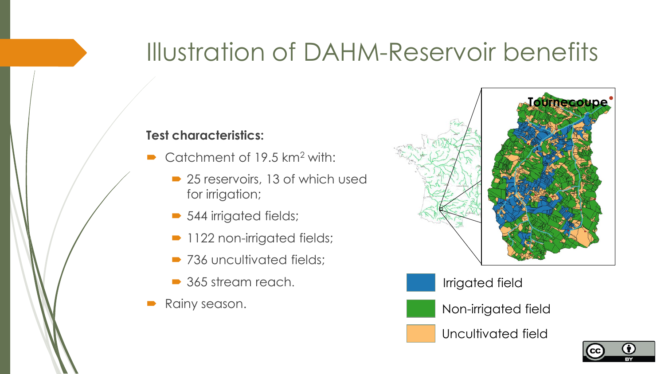### Illustration of DAHM-Reservoir benefits

#### **Test characteristics:**

- $\triangleright$  Catchment of 19.5 km<sup>2</sup> with:
	- 25 reservoirs, 13 of which used for irrigation;
	- 544 irrigated fields;
	- **1122 non-irrigated fields;**
	- 736 uncultivated fields;
	- 365 stream reach.
- Rainy season.



Irrigated field

Non-irrigated field

Uncultivated field

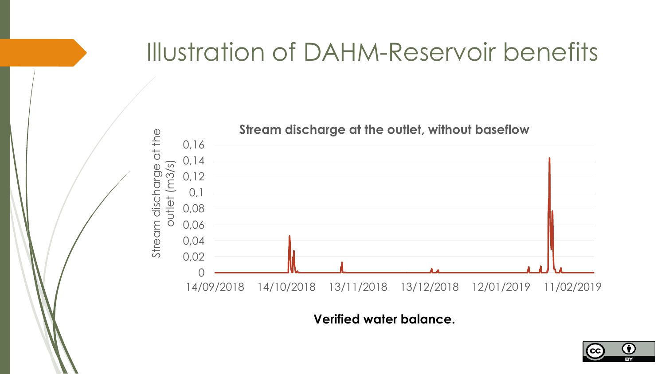### Illustration of DAHM-Reservoir benefits



**Verified water balance.**

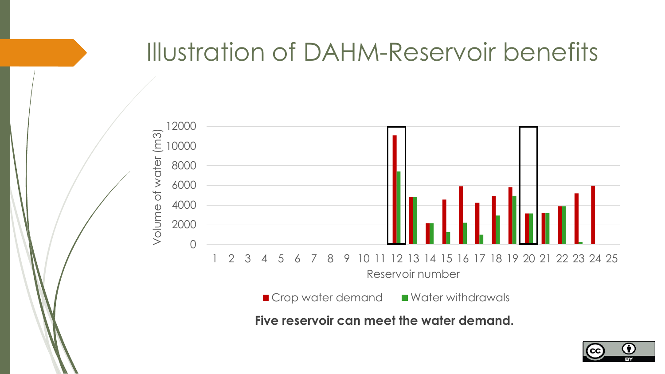#### Illustration of DAHM-Reservoir benefits



**Five reservoir can meet the water demand.**

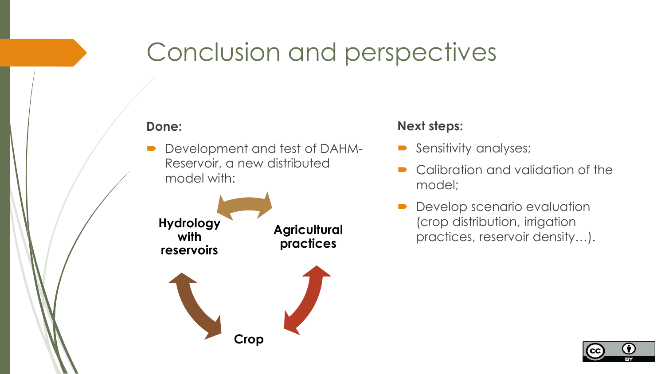### Conclusion and perspectives

#### **Done:**

 Development and test of DAHM-Reservoir, a new distributed model with:



#### **Next steps:**

- Sensitivity analyses;
- Calibration and validation of the model;
- Develop scenario evaluation (crop distribution, irrigation practices, reservoir density…). **Agricultural**